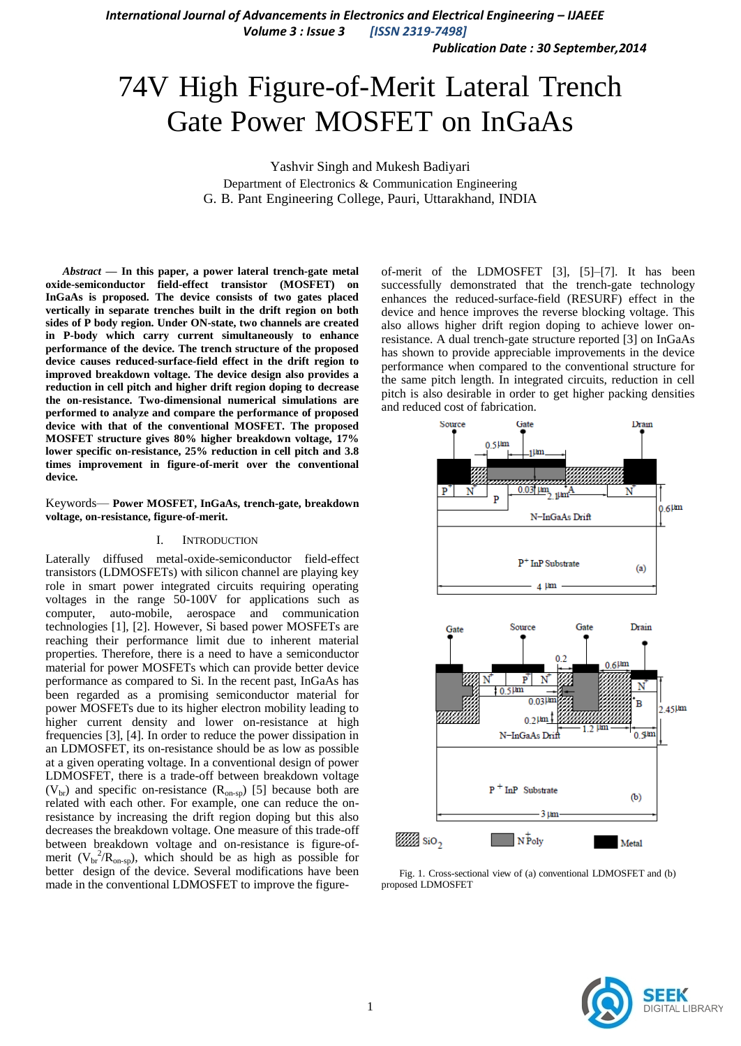*International Journal of Advancements in Electronics and Electrical Engineering – IJAEEE*

*Volume 3 : Issue 3 [ISSN 2319-7498]*

*Publication Date : 30 September,2014*

# 74V High Figure-of-Merit Lateral Trench Gate Power MOSFET on InGaAs

Yashvir Singh and Mukesh Badiyari Department of Electronics & Communication Engineering G. B. Pant Engineering College, Pauri, Uttarakhand, INDIA

*Abstract* **— In this paper, a power lateral trench-gate metal oxide-semiconductor field-effect transistor (MOSFET) on InGaAs is proposed. The device consists of two gates placed vertically in separate trenches built in the drift region on both sides of P body region. Under ON-state, two channels are created in P-body which carry current simultaneously to enhance performance of the device. The trench structure of the proposed device causes reduced-surface-field effect in the drift region to improved breakdown voltage. The device design also provides a reduction in cell pitch and higher drift region doping to decrease the on-resistance. Two-dimensional numerical simulations are performed to analyze and compare the performance of proposed device with that of the conventional MOSFET. The proposed MOSFET structure gives 80% higher breakdown voltage, 17% lower specific on-resistance, 25% reduction in cell pitch and 3.8 times improvement in figure-of-merit over the conventional device***.*

Keywords— **Power MOSFET, InGaAs, trench-gate, breakdown voltage, on-resistance, figure-of-merit.**

#### I. INTRODUCTION

Laterally diffused metal-oxide-semiconductor field-effect transistors (LDMOSFETs) with silicon channel are playing key role in smart power integrated circuits requiring operating voltages in the range 50-100V for applications such as computer, auto-mobile, aerospace and communication technologies [1], [2]. However, Si based power MOSFETs are reaching their performance limit due to inherent material properties. Therefore, there is a need to have a semiconductor material for power MOSFETs which can provide better device performance as compared to Si. In the recent past, InGaAs has been regarded as a promising semiconductor material for power MOSFETs due to its higher electron mobility leading to higher current density and lower on-resistance at high frequencies [3], [4]. In order to reduce the power dissipation in an LDMOSFET, its on-resistance should be as low as possible at a given operating voltage. In a conventional design of power LDMOSFET, there is a trade-off between breakdown voltage  $(V_{\text{br}})$  and specific on-resistance  $(R_{\text{on-sp}})$  [5] because both are related with each other. For example, one can reduce the onresistance by increasing the drift region doping but this also decreases the breakdown voltage. One measure of this trade-off between breakdown voltage and on-resistance is figure-ofmerit ( $V_{\text{br}}^2/R_{\text{on-sp}}$ ), which should be as high as possible for better design of the device. Several modifications have been made in the conventional LDMOSFET to improve the figureof-merit of the LDMOSFET [3], [5]–[7]. It has been successfully demonstrated that the trench-gate technology enhances the reduced-surface-field (RESURF) effect in the device and hence improves the reverse blocking voltage. This also allows higher drift region doping to achieve lower onresistance. A dual trench-gate structure reported [3] on InGaAs has shown to provide appreciable improvements in the device performance when compared to the conventional structure for the same pitch length. In integrated circuits, reduction in cell pitch is also desirable in order to get higher packing densities and reduced cost of fabrication.



Fig. 1. Cross-sectional view of (a) conventional LDMOSFET and (b) proposed LDMOSFET

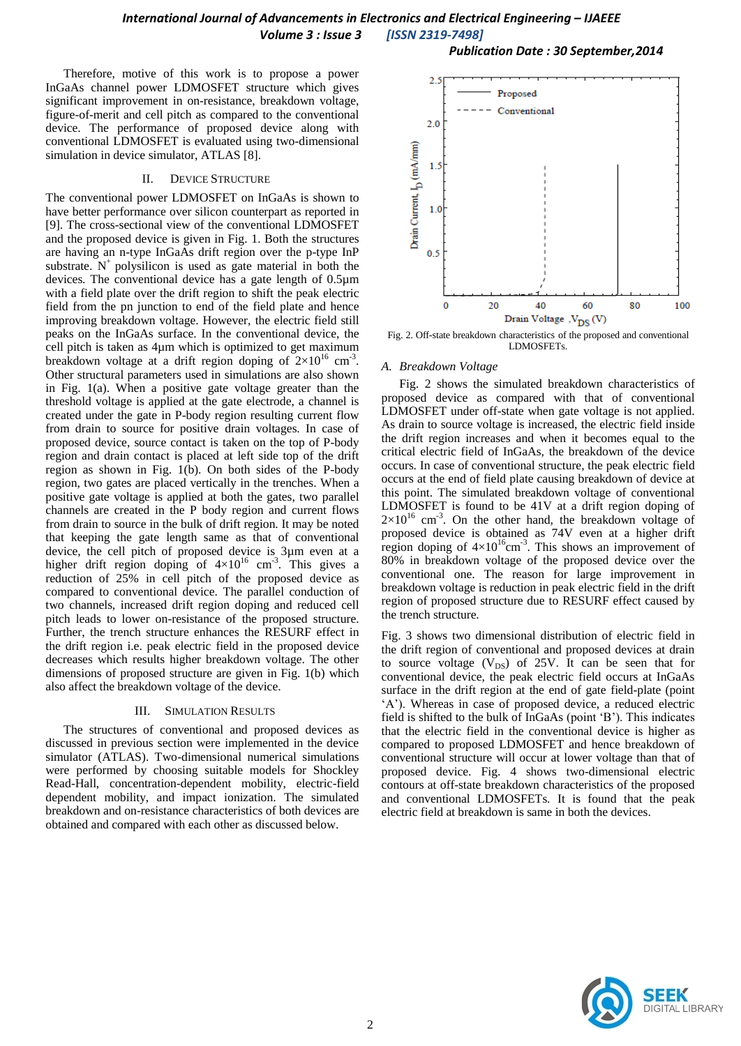# *International Journal of Advancements in Electronics and Electrical Engineering – IJAEEE Volume 3 : Issue 3 [ISSN 2319-7498]*

Therefore, motive of this work is to propose a power InGaAs channel power LDMOSFET structure which gives significant improvement in on-resistance, breakdown voltage, figure-of-merit and cell pitch as compared to the conventional device. The performance of proposed device along with conventional LDMOSFET is evaluated using two-dimensional simulation in device simulator, ATLAS [8].

#### II. DEVICE STRUCTURE

The conventional power LDMOSFET on InGaAs is shown to have better performance over silicon counterpart as reported in [9]. The cross-sectional view of the conventional LDMOSFET and the proposed device is given in Fig. 1. Both the structures are having an n-type InGaAs drift region over the p-type InP substrate.  $N^{+}$  polysilicon is used as gate material in both the devices. The conventional device has a gate length of 0.5µm with a field plate over the drift region to shift the peak electric field from the pn junction to end of the field plate and hence improving breakdown voltage. However, the electric field still peaks on the InGaAs surface. In the conventional device, the cell pitch is taken as 4µm which is optimized to get maximum breakdown voltage at a drift region doping of  $2\times10^{16}$  cm<sup>-3</sup>. Other structural parameters used in simulations are also shown in Fig. 1(a). When a positive gate voltage greater than the threshold voltage is applied at the gate electrode, a channel is created under the gate in P-body region resulting current flow from drain to source for positive drain voltages. In case of proposed device, source contact is taken on the top of P-body region and drain contact is placed at left side top of the drift region as shown in Fig. 1(b). On both sides of the P-body region, two gates are placed vertically in the trenches. When a positive gate voltage is applied at both the gates, two parallel channels are created in the P body region and current flows from drain to source in the bulk of drift region. It may be noted that keeping the gate length same as that of conventional device, the cell pitch of proposed device is 3µm even at a higher drift region doping of  $4 \times 10^{16}$  cm<sup>-3</sup>. This gives a reduction of 25% in cell pitch of the proposed device as compared to conventional device. The parallel conduction of two channels, increased drift region doping and reduced cell pitch leads to lower on-resistance of the proposed structure. Further, the trench structure enhances the RESURF effect in the drift region i.e. peak electric field in the proposed device decreases which results higher breakdown voltage. The other dimensions of proposed structure are given in Fig. 1(b) which also affect the breakdown voltage of the device.

#### III. SIMULATION RESULTS

The structures of conventional and proposed devices as discussed in previous section were implemented in the device simulator (ATLAS). Two-dimensional numerical simulations were performed by choosing suitable models for Shockley Read-Hall, concentration-dependent mobility, electric-field dependent mobility, and impact ionization. The simulated breakdown and on-resistance characteristics of both devices are obtained and compared with each other as discussed below.



*Publication Date : 30 September,2014*

Fig. 2. Off-state breakdown characteristics of the proposed and conventional LDMOSFETs.

#### *A. Breakdown Voltage*

Fig. 2 shows the simulated breakdown characteristics of proposed device as compared with that of conventional LDMOSFET under off-state when gate voltage is not applied. As drain to source voltage is increased, the electric field inside the drift region increases and when it becomes equal to the critical electric field of InGaAs, the breakdown of the device occurs. In case of conventional structure, the peak electric field occurs at the end of field plate causing breakdown of device at this point. The simulated breakdown voltage of conventional LDMOSFET is found to be 41V at a drift region doping of  $2\times10^{16}$  cm<sup>-3</sup>. On the other hand, the breakdown voltage of proposed device is obtained as 74V even at a higher drift region doping of  $4\times10^{16}$ cm<sup>-3</sup>. This shows an improvement of 80% in breakdown voltage of the proposed device over the conventional one. The reason for large improvement in breakdown voltage is reduction in peak electric field in the drift region of proposed structure due to RESURF effect caused by the trench structure.

Fig. 3 shows two dimensional distribution of electric field in the drift region of conventional and proposed devices at drain to source voltage  $(V_{DS})$  of 25V. It can be seen that for conventional device, the peak electric field occurs at InGaAs surface in the drift region at the end of gate field-plate (point ‗A'). Whereas in case of proposed device, a reduced electric field is shifted to the bulk of InGaAs (point 'B'). This indicates that the electric field in the conventional device is higher as compared to proposed LDMOSFET and hence breakdown of conventional structure will occur at lower voltage than that of proposed device. Fig. 4 shows two-dimensional electric contours at off-state breakdown characteristics of the proposed and conventional LDMOSFETs. It is found that the peak electric field at breakdown is same in both the devices.

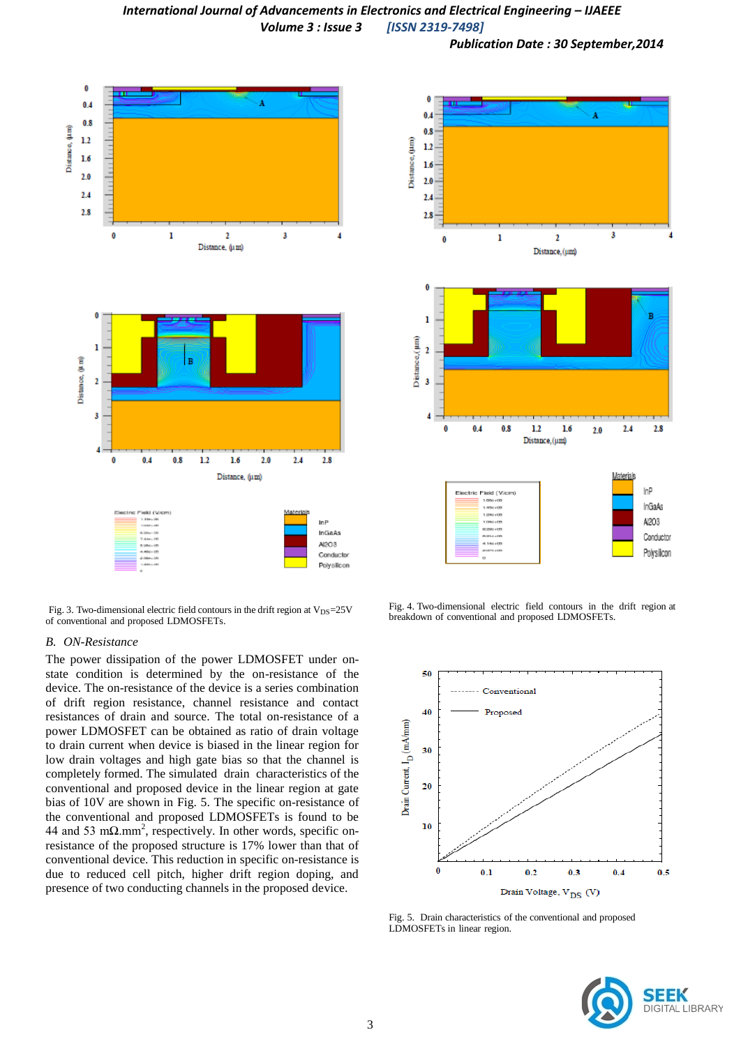# *International Journal of Advancements in Electronics and Electrical Engineering – IJAEEE Volume 3 : Issue 3 [ISSN 2319-7498]*

*Publication Date : 30 September,2014*



Fig. 3. Two-dimensional electric field contours in the drift region at  $V_{DS}=25V$ of conventional and proposed LDMOSFETs.

#### *B. ON-Resistance*

The power dissipation of the power LDMOSFET under onstate condition is determined by the on-resistance of the device. The on-resistance of the device is a series combination of drift region resistance, channel resistance and contact resistances of drain and source. The total on-resistance of a power LDMOSFET can be obtained as ratio of drain voltage to drain current when device is biased in the linear region for low drain voltages and high gate bias so that the channel is completely formed. The simulated drain characteristics of the conventional and proposed device in the linear region at gate bias of 10V are shown in Fig. 5. The specific on-resistance of the conventional and proposed LDMOSFETs is found to be 44 and 53 m $\Omega$ .mm<sup>2</sup>, respectively. In other words, specific onresistance of the proposed structure is 17% lower than that of conventional device. This reduction in specific on-resistance is due to reduced cell pitch, higher drift region doping, and presence of two conducting channels in the proposed device.



Fig. 4. Two-dimensional electric field contours in the drift region at breakdown of conventional and proposed LDMOSFETs.



Fig. 5. Drain characteristics of the conventional and proposed LDMOSFETs in linear region.